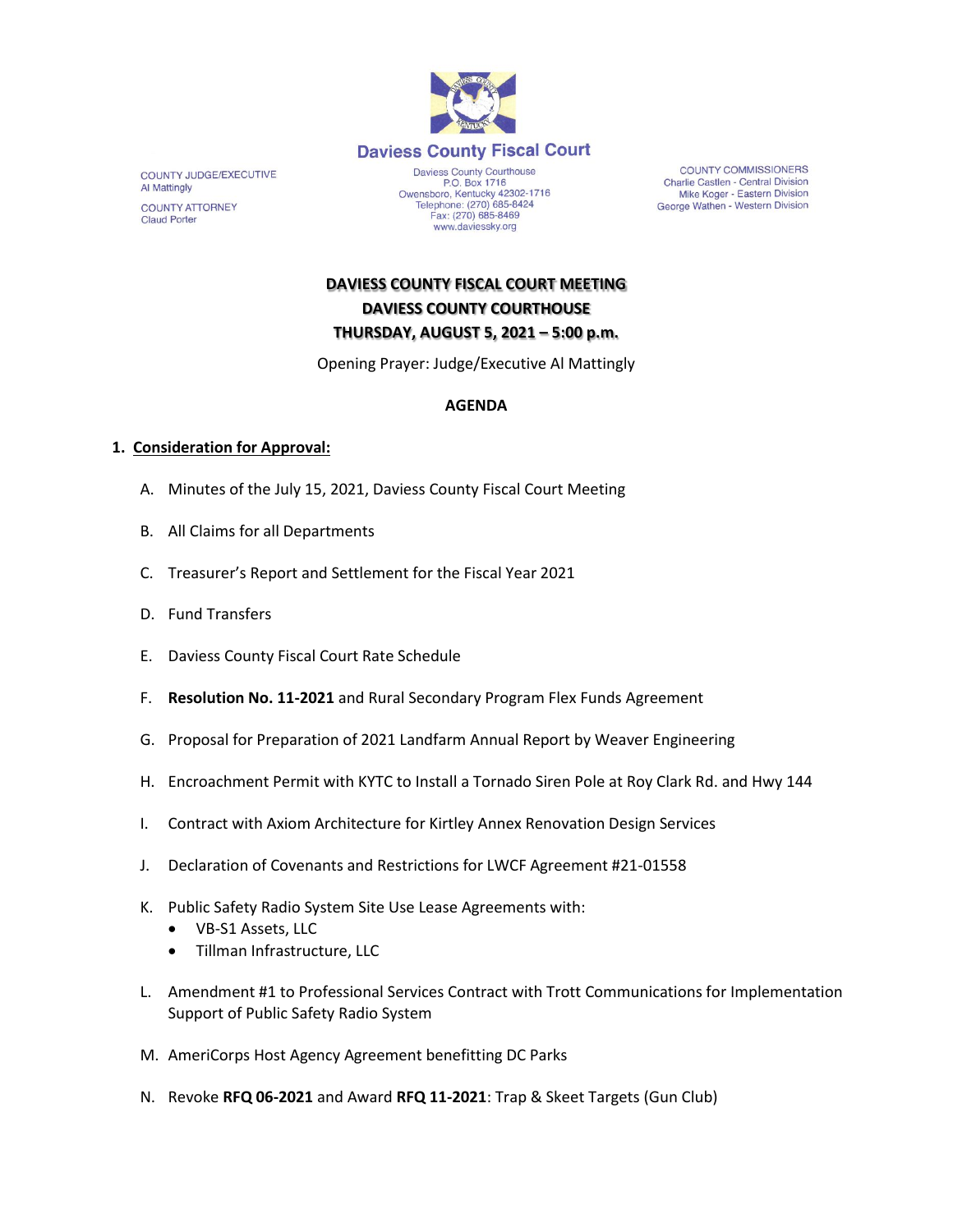

COUNTY JUDGE/EXECUTIVE Al Mattingly **COUNTY ATTORNEY Claud Porter** 

P.O. Box 1716<br>P.O. Box 1716<br>Owensboro, Kentucky 42302-1716<br>Telephone: (270) 685-8424 Fax: (270) 685-8469 www.daviessky.org

**COUNTY COMMISSIONERS** Charlie Castlen - Central Division Mike Koger - Eastern Division George Wathen - Western Division

**DAVIESS COUNTY FISCAL COURT MEETING DAVIESS COUNTY COURTHOUSE THURSDAY, AUGUST 5, 2021 – 5:00 p.m.** 

Opening Prayer: Judge/Executive Al Mattingly

## **AGENDA**

## **1. Consideration for Approval:**

- A. Minutes of the July 15, 2021, Daviess County Fiscal Court Meeting
- B. All Claims for all Departments
- C. Treasurer's Report and Settlement for the Fiscal Year 2021
- D. Fund Transfers
- E. Daviess County Fiscal Court Rate Schedule
- F. **Resolution No. 11-2021** and Rural Secondary Program Flex Funds Agreement
- G. Proposal for Preparation of 2021 Landfarm Annual Report by Weaver Engineering
- H. Encroachment Permit with KYTC to Install a Tornado Siren Pole at Roy Clark Rd. and Hwy 144
- I. Contract with Axiom Architecture for Kirtley Annex Renovation Design Services
- J. Declaration of Covenants and Restrictions for LWCF Agreement #21-01558
- K. Public Safety Radio System Site Use Lease Agreements with:
	- VB-S1 Assets, LLC
	- Tillman Infrastructure, LLC
- L. Amendment #1 to Professional Services Contract with Trott Communications for Implementation Support of Public Safety Radio System
- M. AmeriCorps Host Agency Agreement benefitting DC Parks
- N. Revoke **RFQ 06-2021** and Award **RFQ 11-2021**: Trap & Skeet Targets (Gun Club)